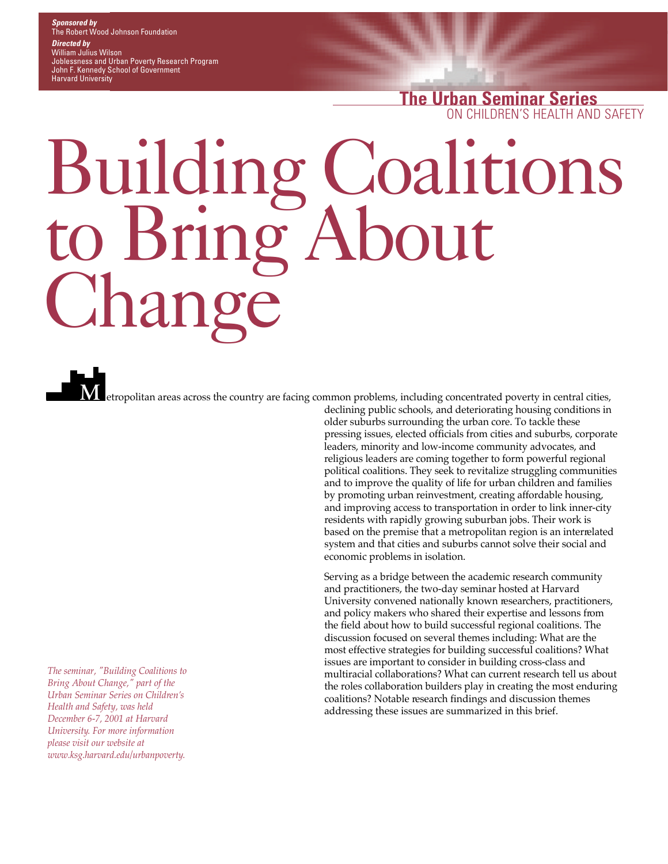### *Sponsored by* The Robert Wood Johnson Foundation *Directed by* William Julius Wilson Joblessness and Urban Poverty Research Program

John F. Kennedy School of Government Harvard University

> **The Urban Seminar Series** ON CHILDREN'S HEALTH AND SAFETY

# Building Coalitions to Bring About ang

**M**

*The seminar, "Building Coalitions to Bring About Change," part of the <u>Urban Seminar Series on Children's</u> Health and Safety, was held December 6-7, 2001 at Harvard <u>University</u>. For more information please visit our website at w w w. k s g . h a r v a r d . e d u / u r b a n p o v e r t y.*

declining public schools, and deteriorating housing conditions in older suburbs surrounding the urban core. To tackle these p ressing issues, elected officials from cities and suburbs, corporate leaders, minority and low-income community advocates, and religious leaders are coming together to form powerful regional political coalitions. They seek to revitalize struggling communities and to improve the quality of life for urban children and families by promoting urban reinvestment, creating affordable housing, and improving access to transportation in order to link inner-city residents with rapidly growing suburban jobs. Their work is based on the premise that a metropolitan region is an interrelated system and that cities and suburbs cannot solve their social and economic problems in isolation. etropolitan areas across the country are facing common problems, including concentrated poverty in central cities,

> Serving as a bridge between the academic research community and practitioners, the two-day seminar hosted at Harvard University convened nationally known researchers, practitioners, and policy makers who shared their expertise and lessons from the field about how to build successful regional coalitions. The discussion focused on several themes including: What are the most effective strategies for building successful coalitions? What issues are important to consider in building cross-class and multiracial collaborations? What can current research tell us about the roles collaboration builders play in creating the most enduring coalitions? Notable research findings and discussion themes addressing these issues are summarized in this brief.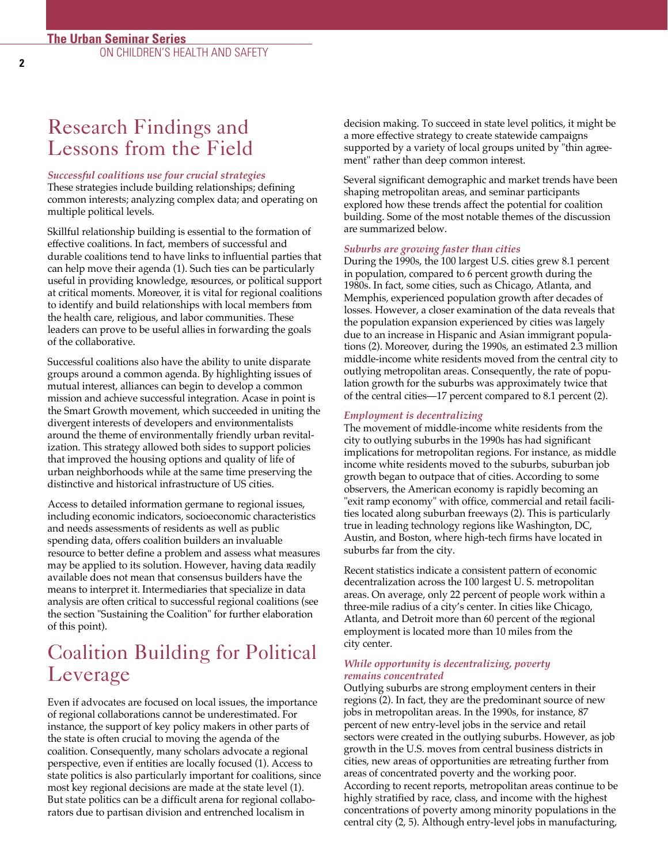### Research Findings and Lessons from the Field

#### *Successful coalitions use four crucial strategies*

These strategies include building relationships; defining common interests; analyzing complex data; and operating on multiple political levels.

Skillful relationship building is essential to the formation of effective coalitions. In fact, members of successful and durable coalitions tend to have links to influential parties that can help move their agenda (1). Such ties can be particularly useful in providing knowledge, resources, or political support at critical moments. Moreover, it is vital for regional coalitions to identify and build relationships with local members from the health care, religious, and labor communities. These leaders can prove to be useful allies in forwarding the goals of the collaborative.

Successful coalitions also have the ability to unite disparate g roups around a common agenda. By highlighting issues of mutual interest, alliances can begin to develop a common mission and achieve successful integration. Acase in point is the Smart Growth movement, which succeeded in uniting the divergent interests of developers and environmentalists around the theme of environmentally friendly urban revitalization. This strategy allowed both sides to support policies that improved the housing options and quality of life of urban neighborhoods while at the same time preserving the distinctive and historical infrastructure of US cities.

Access to detailed information germane to regional issues, including economic indicators, socioeconomic characteristics and needs assessments of residents as well as public spending data, offers coalition builders an invaluable re source to better define a problem and assess what measures may be applied to its solution. However, having data readily available does not mean that consensus builders have the means to interpret it. Intermediaries that specialize in data analysis are often critical to successful regional coalitions (see the section "Sustaining the Coalition" for further elaboration of this point).

### Coalition Building for Political Leverage

Even if advocates are focused on local issues, the importance of regional collaborations cannot be underestimated. For instance, the support of key policy makers in other parts of the state is often crucial to moving the agenda of the coalition. Consequently, many scholars advocate a regional perspective, even if entities are locally focused (1). Access to state politics is also particularly important for coalitions, since most key regional decisions are made at the state level (1). But state politics can be a difficult arena for regional collaborators due to partisan division and entrenched localism in

decision making. To succeed in state level politics, it might be a more effective strategy to create statewide campaigns supported by a variety of local groups united by "thin agreement" rather than deep common interest.

Several significant demographic and market trends have been shaping metropolitan areas, and seminar participants explored how these trends affect the potential for coalition building. Some of the most notable themes of the discussion are summarized below.

#### *Suburbs are growing faster than cities*

During the 1990s, the 100 largest U.S. cities grew 8.1 percent in population, compared to 6 percent growth during the 1980s. In fact, some cities, such as Chicago, Atlanta, and Memphis, experienced population growth after decades of losses. However, a closer examination of the data reveals that the population expansion experienced by cities was largely due to an increase in Hispanic and Asian immigrant populations (2). Moreover, during the 1990s, an estimated 2.3 million middle-income white residents moved from the central city to outlying metropolitan areas. Consequently, the rate of population growth for the suburbs was approximately twice that of the central cities—17 percent compared to 8.1 percent (2).

#### *Employment is decentralizing*

The movement of middle-income white residents from the city to outlying suburbs in the 1990s has had significant implications for metropolitan regions. For instance, as middle income white residents moved to the suburbs, suburban job growth began to outpace that of cities. According to some observers, the American economy is rapidly becoming an "exit ramp economy" with office, commercial and retail facilities located along suburban freeways (2). This is particularly true in leading technology regions like Washington, DC, Austin, and Boston, where high-tech firms have located in suburbs far from the city.

Recent statistics indicate a consistent pattern of economic decentralization across the 100 largest U.S. metropolitan areas. On average, only 22 percent of people work within a three-mile radius of a city's center. In cities like Chicago, Atlanta, and Detroit more than 60 percent of the regional employment is located more than 10 miles from the city center.

#### *While opportunity is decentralizing, poverty remains concentrated*

Outlying suburbs are strong employment centers in their regions (2). In fact, they are the predominant source of new jobs in metropolitan areas. In the 1990s, for instance, 87 percent of new entry-level jobs in the service and retail sectors were created in the outlying suburbs. However, as job growth in the U.S. moves from central business districts in cities, new areas of opportunities are retreating further from areas of concentrated poverty and the working poor. According to recent reports, metropolitan areas continue to be highly stratified by race, class, and income with the highest concentrations of poverty among minority populations in the central city (2, 5). Although entry-level jobs in manufacturing,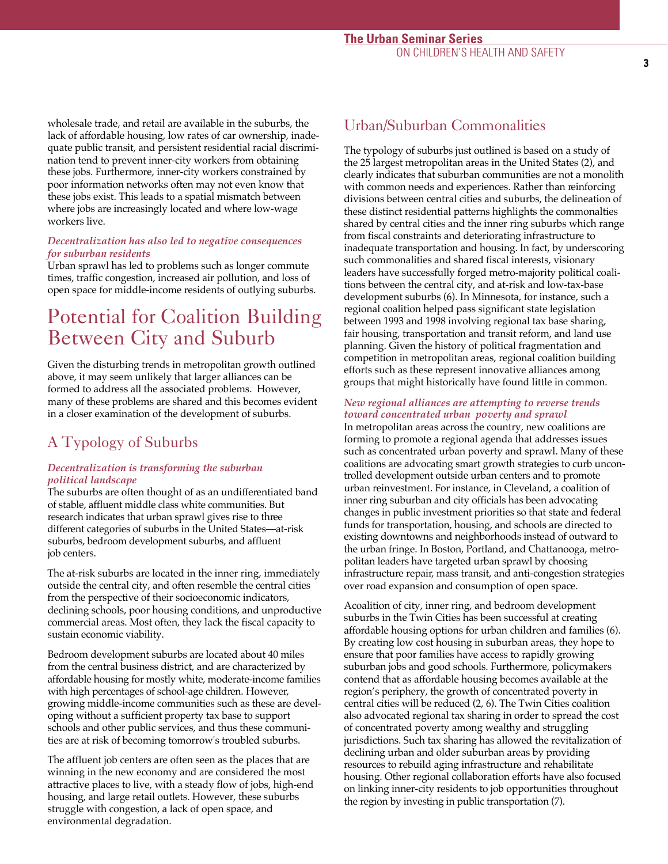wholesale trade, and retail are available in the suburbs, the lack of affordable housing, low rates of car ownership, inadequate public transit, and persistent residential racial discrimination tend to prevent inner-city workers from obtaining these jobs. Furthermore, inner-city workers constrained by poor information networks often may not even know that these jobs exist. This leads to a spatial mismatch between where jobs are increasingly located and where low-wage workers live.

### *Decentralization has also led to negative consequences for suburban residents*

Urban sprawl has led to problems such as longer commute times, traffic congestion, increased air pollution, and loss of open space for middle-income residents of outlying suburbs.

# Potential for Coalition Building Between City and Suburb

Given the disturbing trends in metropolitan growth outlined above, it may seem unlikely that larger alliances can be formed to address all the associated problems. However, many of these problems are shared and this becomes evident in a closer examination of the development of suburbs.

### A Typology of Suburbs

### *Decentralization is transforming the suburban political landscape*

The suburbs are often thought of as an undifferentiated band of stable, affluent middle class white communities. But re search indicates that urban sprawl gives rise to three different categories of suburbs in the United States—at-risk suburbs, bedroom development suburbs, and affluent job centers.

The at-risk suburbs are located in the inner ring, immediately outside the central city, and often resemble the central cities from the perspective of their socioeconomic indicators, declining schools, poor housing conditions, and unproductive commercial areas. Most often, they lack the fiscal capacity to sustain economic viability.

Bedroom development suburbs are located about 40 miles from the central business district, and are characterized by affordable housing for mostly white, moderate-income families with high percentages of school-age children. However, growing middle-income communities such as these are developing without a sufficient property tax base to support schools and other public services, and thus these communities are at risk of becoming tomorrow's troubled suburbs.

The affluent job centers are often seen as the places that are winning in the new economy and are considered the most attractive places to live, with a steady flow of jobs, high-end housing, and large retail outlets. However, these suburbs struggle with congestion, a lack of open space, and environmental degradation.

### Urban/Suburban Commonalities

The typology of suburbs just outlined is based on a study of the 25 largest metropolitan areas in the United States (2), and clearly indicates that suburban communities are not a monolith with common needs and experiences. Rather than reinforcing divisions between central cities and suburbs, the delineation of these distinct residential patterns highlights the commonalties shared by central cities and the inner ring suburbs which range from fiscal constraints and deteriorating infrastructure to inadequate transportation and housing. In fact, by underscoring such commonalities and shared fiscal interests, visionary leaders have successfully forged metro-majority political coalitions between the central city, and at-risk and low-tax-base development suburbs (6). In Minnesota, for instance, such a regional coalition helped pass significant state legislation between 1993 and 1998 involving regional tax base sharing, fair housing, transportation and transit reform, and land use planning. Given the history of political fragmentation and competition in metropolitan areas, regional coalition building efforts such as these represent innovative alliances among g roups that might historically have found little in common.

### *New regional alliances are attempting to reverse trends toward concentrated urban poverty and sprawl*

In metropolitan areas across the country, new coalitions are forming to promote a regional agenda that addresses issues such as concentrated urban poverty and sprawl. Many of these coalitions are advocating smart growth strategies to curb uncontrolled development outside urban centers and to promote urban reinvestment. For instance, in Cleveland, a coalition of inner ring suburban and city officials has been advocating changes in public investment priorities so that state and federal funds for transportation, housing, and schools are directed to existing downtowns and neighborhoods instead of outward to the urban fringe. In Boston, Portland, and Chattanooga, metropolitan leaders have targeted urban sprawl by choosing infrastructure repair, mass transit, and anti-congestion strategies over road expansion and consumption of open space.

Acoalition of city, inner ring, and bedroom development suburbs in the Twin Cities has been successful at creating affordable housing options for urban children and families (6). By creating low cost housing in suburban areas, they hope to ensure that poor families have access to rapidly growing suburban jobs and good schools. Furthermore, policymakers contend that as affordable housing becomes available at the region's periphery, the growth of concentrated poverty in central cities will be reduced (2, 6). The Twin Cities coalition also advocated regional tax sharing in order to spread the cost of concentrated poverty among wealthy and struggling jurisdictions. Such tax sharing has allowed the revitalization of declining urban and older suburban areas by providing re sources to rebuild aging infrastructure and rehabilitate housing. Other regional collaboration efforts have also focused on linking inner-city residents to job opportunities throughout the region by investing in public transportation (7).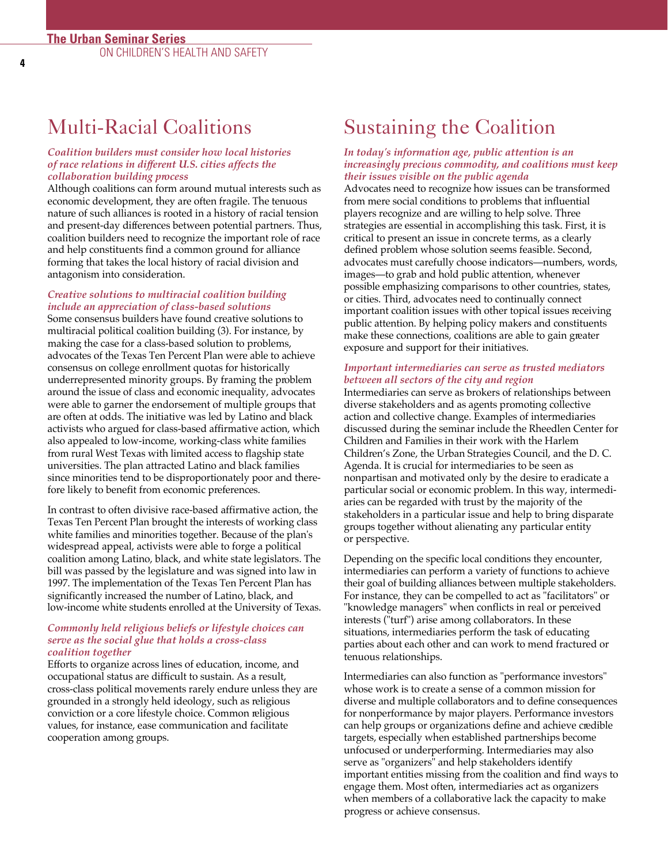**4**

### Multi-Racial Coalitions

### *Coalition builders must consider how local histories of race relations in different U.S. cities affects the collaboration building process*

Although coalitions can form around mutual interests such as economic development, they are often fragile. The tenuous nature of such alliances is rooted in a history of racial tension and present-day differences between potential partners. Thus, coalition builders need to recognize the important role of race and help constituents find a common ground for alliance forming that takes the local history of racial division and antagonism into consideration.

### *C reative solutions to multiracial coalition building include an appreciation of class-based solutions*

Some consensus builders have found creative solutions to multiracial political coalition building (3). For instance, by making the case for a class-based solution to problems, advocates of the Texas Ten Percent Plan were able to achieve consensus on college enrollment quotas for historically underrepresented minority groups. By framing the problem around the issue of class and economic inequality, advocates were able to garner the endorsement of multiple groups that are often at odds. The initiative was led by Latino and black activists who argued for class-based affirmative action, which also appealed to low-income, working-class white families from rural West Texas with limited access to flagship state universities. The plan attracted Latino and black families since minorities tend to be disproportionately poor and therefore likely to benefit from economic preferences.

In contrast to often divisive race-based affirmative action, the Texas Ten Percent Plan brought the interests of working class white families and minorities together. Because of the plan's widespread appeal, activists were able to forge a political coalition among Latino, black, and white state legislators. The bill was passed by the legislature and was signed into law in 1997. The implementation of the Texas Ten Percent Plan has significantly increased the number of Latino, black, and low-income white students enrolled at the University of Texas.

### *Commonly held religious beliefs or lifestyle choices can serve as the social glue that holds a cross-class coalition together*

Efforts to organize across lines of education, income, and occupational status are difficult to sustain. As a result, cross-class political movements rarely endure unless they are grounded in a strongly held ideology, such as religious conviction or a core lifestyle choice. Common religious values, for instance, ease communication and facilitate cooperation among groups.

# Sustaining the Coalition

#### *In today's information age, public attention is an i n c reasingly precious commodity, and coalitions must keep their issues visible on the public agenda*

Advocates need to recognize how issues can be transformed from mere social conditions to problems that influential players recognize and are willing to help solve. Three strategies are essential in accomplishing this task. First, it is critical to present an issue in concrete terms, as a clearly defined problem whose solution seems feasible. Second, advocates must carefully choose indicators—numbers, words, images—to grab and hold public attention, whenever possible emphasizing comparisons to other countries, states, or cities. Third, advocates need to continually connect important coalition issues with other topical issues receiving public attention. By helping policy makers and constituents make these connections, coalitions are able to gain greater exposure and support for their initiatives.

### *Important intermediaries can serve as trusted mediators between all sectors of the city and region*

Intermediaries can serve as brokers of relationships between diverse stakeholders and as agents promoting collective action and collective change. Examples of intermediaries discussed during the seminar include the Rheedlen Center for Children and Families in their work with the Harlem Children's Zone, the Urban Strategies Council, and the D. C. Agenda. It is crucial for intermediaries to be seen as nonpartisan and motivated only by the desire to eradicate a particular social or economic problem. In this way, intermediaries can be regarded with trust by the majority of the stakeholders in a particular issue and help to bring disparate groups together without alienating any particular entity or perspective.

Depending on the specific local conditions they encounter, intermediaries can perform a variety of functions to achieve their goal of building alliances between multiple stakeholders. For instance, they can be compelled to act as "facilitators" or "knowledge managers" when conflicts in real or perceived interests ("turf") arise among collaborators. In these situations, intermediaries perform the task of educating parties about each other and can work to mend fractured or tenuous relationships.

Intermediaries can also function as "performance investors" whose work is to create a sense of a common mission for diverse and multiple collaborators and to define consequences for nonperformance by major players. Performance investors can help groups or organizations define and achieve credible targets, especially when established partnerships become unfocused or underperforming. Intermediaries may also serve as "organizers" and help stakeholders identify important entities missing from the coalition and find ways to engage them. Most often, intermediaries act as organizers when members of a collaborative lack the capacity to make progress or achieve consensus.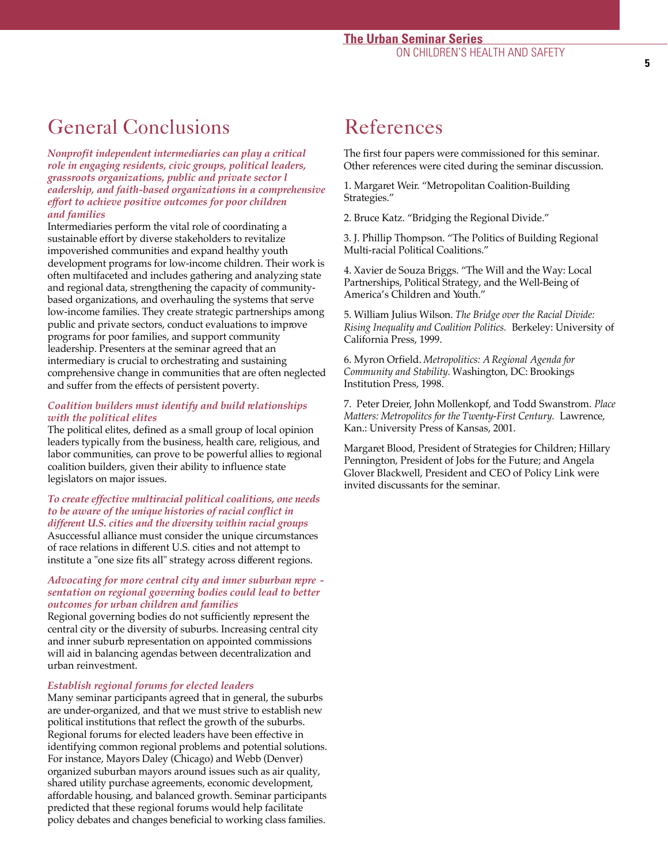# General Conclusions

*N o n p rofit independent intermediaries can play a critical role in engaging residents, civic groups, political leaders, g r a s s roots organizations, public and private sector l eadership, and faith-based organizations in a comprehensive e ffort to achieve positive outcomes for poor children and families*

Intermediaries perform the vital role of coordinating a sustainable effort by diverse stakeholders to revitalize impoverished communities and expand healthy youth development programs for low-income children. Their work is often multifaceted and includes gathering and analyzing state and regional data, strengthening the capacity of communitybased organizations, and overhauling the systems that serve low-income families. They create strategic partnerships among public and private sectors, conduct evaluations to improve p rograms for poor families, and support community leadership. Presenters at the seminar agreed that an intermediary is crucial to orchestrating and sustaining comprehensive change in communities that are often neglected and suffer from the effects of persistent poverty.

### *Coalition builders must identify and build relationships with the political elites*

The political elites, defined as a small group of local opinion leaders typically from the business, health care, religious, and labor communities, can prove to be powerful allies to regional coalition builders, given their ability to influence state legislators on major issues.

### *To create effective multiracial political coalitions, one needs to be aware of the unique histories of racial conflict in d i ff e rent U.S. cities and the diversity within racial gro u p s*

Asuccessful alliance must consider the unique circumstances of race relations in different U.S. cities and not attempt to institute a "one size fits all" strategy across different regions.

### *Advocating for more central city and inner suburban re p re sentation on regional governing bodies could lead to better outcomes for urban children and families*

Regional governing bodies do not sufficiently represent the central city or the diversity of suburbs. Increasing central city and inner suburb representation on appointed commissions will aid in balancing agendas between decentralization and urban reinvestment.

### *Establish regional forums for elected leaders*

Many seminar participants agreed that in general, the suburbs are under-organized, and that we must strive to establish new political institutions that reflect the growth of the suburbs. Regional forums for elected leaders have been effective in identifying common regional problems and potential solutions. For instance, Mayors Daley (Chicago) and Webb (Denver) organized suburban mayors around issues such as air quality, shared utility purchase agreements, economic development, affordable housing, and balanced growth. Seminar participants p redicted that these regional forums would help facilitate policy debates and changes beneficial to working class families.

### References

The first four papers were commissioned for this seminar. Other references were cited during the seminar discussion.

1. Margaret Weir. "Metropolitan Coalition-Building Strategies."

2. Bruce Katz. "Bridging the Regional Divide."

3. J. Phillip Thompson. "The Politics of Building Regional Multi-racial Political Coalitions."

4. Xavier de Souza Briggs. "The Will and the Way: Local Partnerships, Political Strategy, and the Well-Being of America's Children and Youth."

5. William Julius Wilson. *The Bridge over the Racial Divide: Rising Inequality and Coalition Politics.* Berkeley: University of California Press, 1999.

6. Myron Orfield. *M e t ropolitics: A Regional Agenda for Community and Stability.* Washington, DC: Brookings Institution Press, 1998.

7. Peter Dreier, John Mollenkopf, and Todd Swanstrom. *Place Matters: Metropolitcs for the Twenty-First Century. Lawrence,* Kan.: University Press of Kansas, 2001.

Margaret Blood, President of Strategies for Children; Hillary Pennington, President of Jobs for the Future; and Angela Glover Blackwell, President and CEO of Policy Link were invited discussants for the seminar.